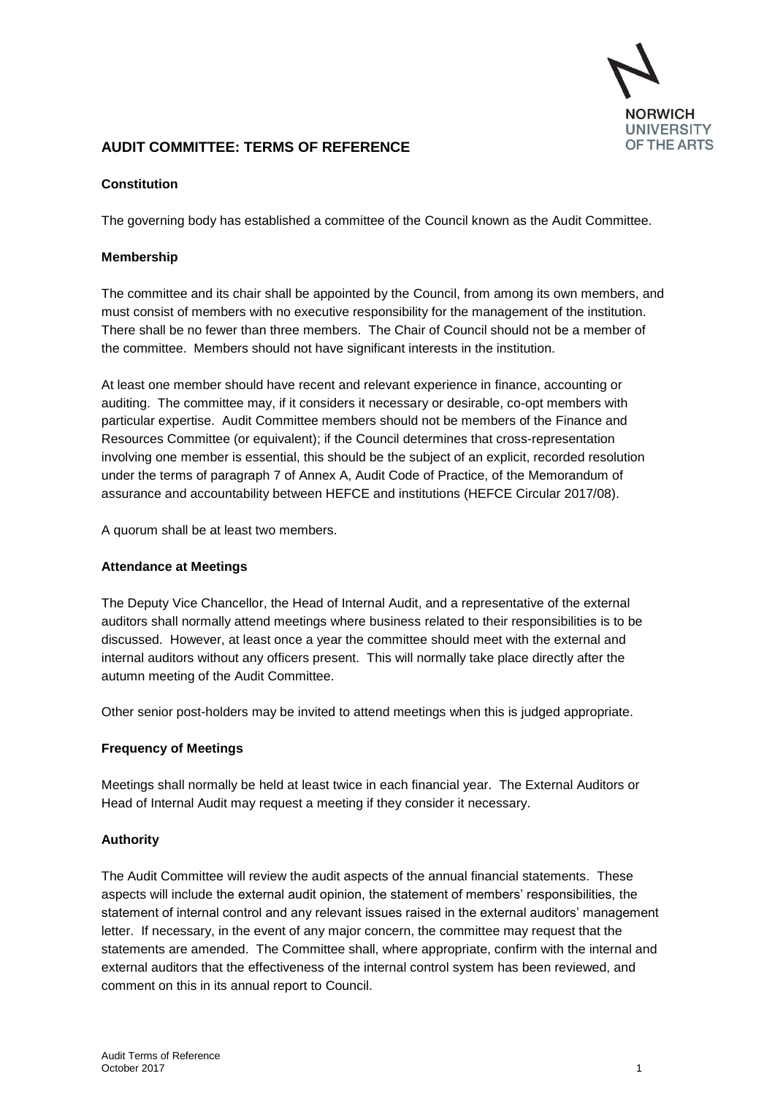

# **AUDIT COMMITTEE: TERMS OF REFERENCE**

#### **Constitution**

The governing body has established a committee of the Council known as the Audit Committee.

#### **Membership**

The committee and its chair shall be appointed by the Council, from among its own members, and must consist of members with no executive responsibility for the management of the institution. There shall be no fewer than three members. The Chair of Council should not be a member of the committee. Members should not have significant interests in the institution.

At least one member should have recent and relevant experience in finance, accounting or auditing. The committee may, if it considers it necessary or desirable, co-opt members with particular expertise. Audit Committee members should not be members of the Finance and Resources Committee (or equivalent); if the Council determines that cross-representation involving one member is essential, this should be the subject of an explicit, recorded resolution under the terms of paragraph 7 of Annex A, Audit Code of Practice, of the Memorandum of assurance and accountability between HEFCE and institutions (HEFCE Circular 2017/08).

A quorum shall be at least two members.

#### **Attendance at Meetings**

The Deputy Vice Chancellor, the Head of Internal Audit, and a representative of the external auditors shall normally attend meetings where business related to their responsibilities is to be discussed. However, at least once a year the committee should meet with the external and internal auditors without any officers present. This will normally take place directly after the autumn meeting of the Audit Committee.

Other senior post-holders may be invited to attend meetings when this is judged appropriate.

## **Frequency of Meetings**

Meetings shall normally be held at least twice in each financial year. The External Auditors or Head of Internal Audit may request a meeting if they consider it necessary.

## **Authority**

The Audit Committee will review the audit aspects of the annual financial statements. These aspects will include the external audit opinion, the statement of members' responsibilities, the statement of internal control and any relevant issues raised in the external auditors' management letter. If necessary, in the event of any major concern, the committee may request that the statements are amended. The Committee shall, where appropriate, confirm with the internal and external auditors that the effectiveness of the internal control system has been reviewed, and comment on this in its annual report to Council.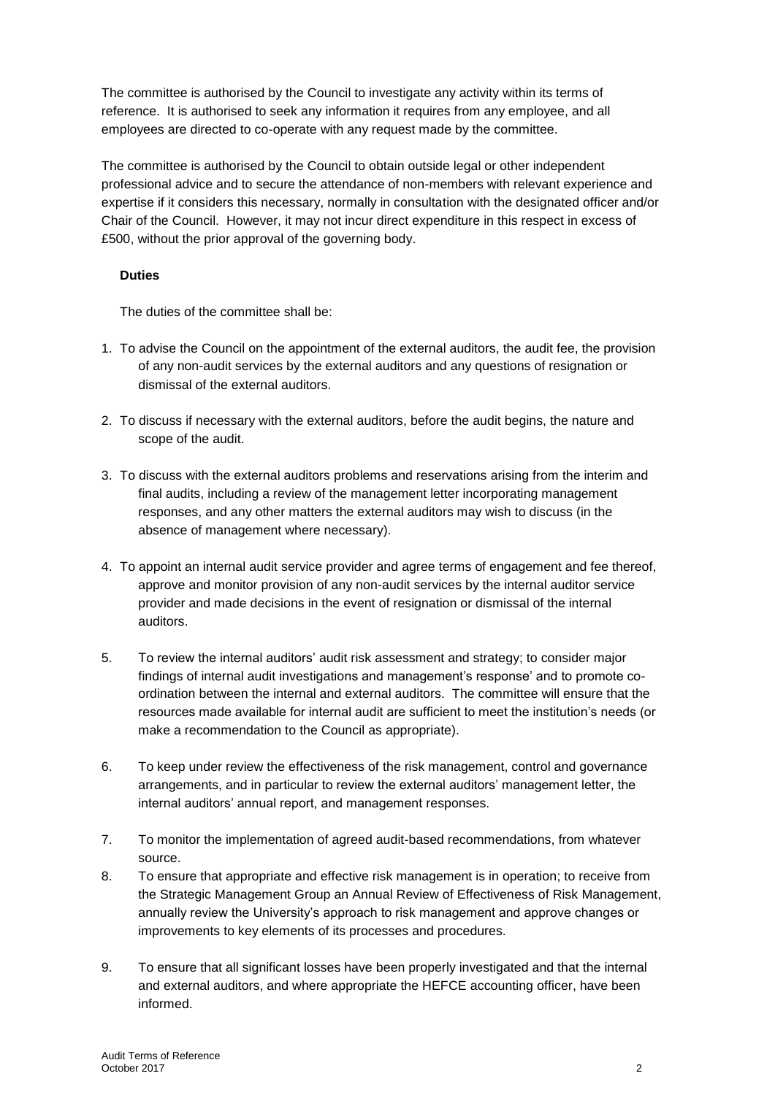The committee is authorised by the Council to investigate any activity within its terms of reference. It is authorised to seek any information it requires from any employee, and all employees are directed to co-operate with any request made by the committee.

The committee is authorised by the Council to obtain outside legal or other independent professional advice and to secure the attendance of non-members with relevant experience and expertise if it considers this necessary, normally in consultation with the designated officer and/or Chair of the Council. However, it may not incur direct expenditure in this respect in excess of £500, without the prior approval of the governing body.

# **Duties**

The duties of the committee shall be:

- 1. To advise the Council on the appointment of the external auditors, the audit fee, the provision of any non-audit services by the external auditors and any questions of resignation or dismissal of the external auditors.
- 2. To discuss if necessary with the external auditors, before the audit begins, the nature and scope of the audit.
- 3. To discuss with the external auditors problems and reservations arising from the interim and final audits, including a review of the management letter incorporating management responses, and any other matters the external auditors may wish to discuss (in the absence of management where necessary).
- 4. To appoint an internal audit service provider and agree terms of engagement and fee thereof, approve and monitor provision of any non-audit services by the internal auditor service provider and made decisions in the event of resignation or dismissal of the internal auditors.
- 5. To review the internal auditors' audit risk assessment and strategy; to consider major findings of internal audit investigations and management's response' and to promote coordination between the internal and external auditors. The committee will ensure that the resources made available for internal audit are sufficient to meet the institution's needs (or make a recommendation to the Council as appropriate).
- 6. To keep under review the effectiveness of the risk management, control and governance arrangements, and in particular to review the external auditors' management letter, the internal auditors' annual report, and management responses.
- 7. To monitor the implementation of agreed audit-based recommendations, from whatever source.
- 8. To ensure that appropriate and effective risk management is in operation; to receive from the Strategic Management Group an Annual Review of Effectiveness of Risk Management, annually review the University's approach to risk management and approve changes or improvements to key elements of its processes and procedures.
- 9. To ensure that all significant losses have been properly investigated and that the internal and external auditors, and where appropriate the HEFCE accounting officer, have been informed.